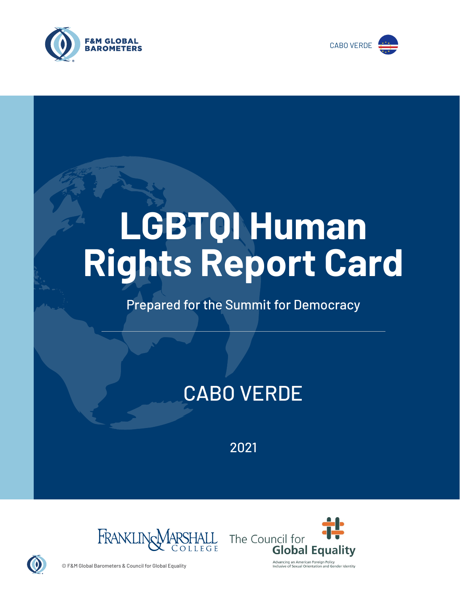



# **LGBTQI Human Rights Report Card**

# Prepared for the Summit for Democracy

# CABO VERDE

2021





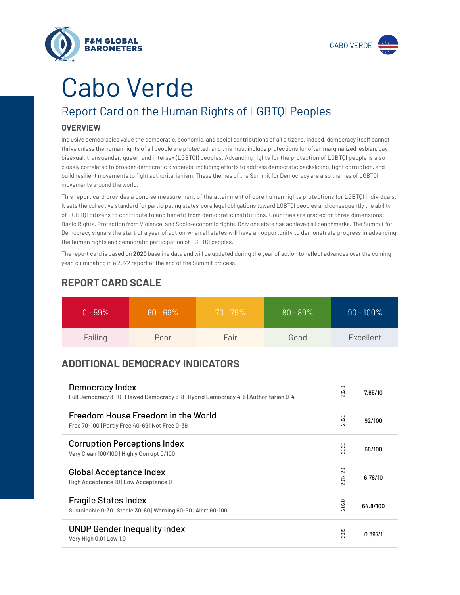

# Cabo Verde

**F&M GLOBAL BAROMETERS** 

# Report Card on the Human Rights of LGBTQI Peoples

## **OVERVIEW**

Inclusive democracies value the democratic, economic, and social contributions of *all* citizens. Indeed, democracy itself cannot thrive unless the human rights of all people are protected, and this must include protections for often marginalized lesbian, gay, bisexual, transgender, queer, and intersex (LGBTQI) peoples. Advancing rights for the protection of LGBTQI people is also closely correlated to broader democratic dividends, including efforts to address democratic backsliding, fight corruption, and build resilient movements to fight authoritarianism. These themes of the Summit for Democracy are also themes of LGBTQI movements around the world.

This report card provides a concise measurement of the attainment of core human rights protections for LGBTQI individuals. It sets the collective standard for participating states' core legal obligations toward LGBTQI peoples and consequently the ability of LGBTQI citizens to contribute to and benefit from democratic institutions. Countries are graded on three dimensions: Basic Rights, Protection from Violence, and Socio-economic rights. Only one state has achieved all benchmarks. The Summit for Democracy signals the start of a year of action when all states will have an opportunity to demonstrate progress in advancing the human rights and democratic participation of LGBTQI peoples.

The report card is based on **2020** baseline data and will be updated during the year of action to reflect advances over the coming year, culminating in a 2022 report at the end of the Summit process.

| $0 - 59\%$ | $60 - 69\%$ | $70 - 79\%$ | $80 - 89%$ | $90 - 100\%$ |
|------------|-------------|-------------|------------|--------------|
| Failing    | Poor        | Fair        | Good       | Excellent    |

# **REPORT CARD SCALE**

# **ADDITIONAL DEMOCRACY INDICATORS**

| Democracy Index<br>Full Democracy 8-10   Flawed Democracy 6-8   Hybrid Democracy 4-6   Authoritarian 0-4 | 2020                   | 7.65/10  |
|----------------------------------------------------------------------------------------------------------|------------------------|----------|
| Freedom House Freedom in the World<br>Free 70-100   Partly Free 40-69   Not Free 0-39                    | 2020                   | 92/100   |
| <b>Corruption Perceptions Index</b><br>Very Clean 100/100   Highly Corrupt 0/100                         | 020<br>$\sim$          | 58/100   |
| <b>Global Acceptance Index</b><br>High Acceptance 10   Low Acceptance 0                                  | 2017-20                | 6.78/10  |
| <b>Fragile States Index</b><br>Sustainable 0-30   Stable 30-60   Warning 60-90   Alert 90-100            | 2020                   | 64.8/100 |
| <b>UNDP Gender Inequality Index</b><br>Very High 0.0   Low 1.0                                           | တ<br>5<br>$\bar{\sim}$ | 0.397/1  |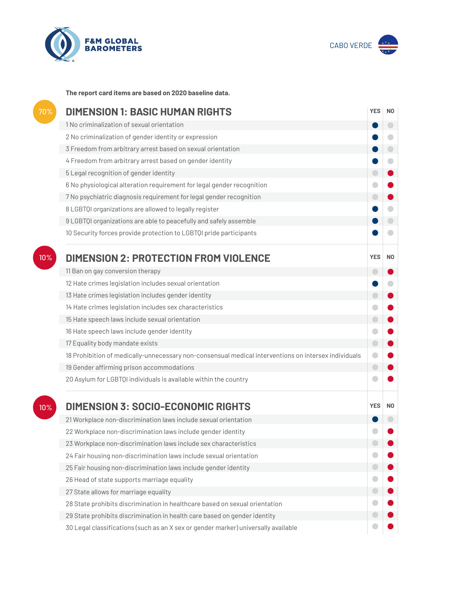



**The report card items are based on 2020 baseline data.**

| 70% | <b>DIMENSION 1: BASIC HUMAN RIGHTS</b>                                                               |            |                          |
|-----|------------------------------------------------------------------------------------------------------|------------|--------------------------|
|     | 1 No criminalization of sexual orientation                                                           |            | $\overline{\phantom{0}}$ |
|     | 2 No criminalization of gender identity or expression                                                |            | o                        |
|     | 3 Freedom from arbitrary arrest based on sexual orientation                                          |            | $\Box$                   |
|     | 4 Freedom from arbitrary arrest based on gender identity                                             |            | $\Box$                   |
|     | 5 Legal recognition of gender identity                                                               | $\Box$     |                          |
|     | 6 No physiological alteration requirement for legal gender recognition                               |            |                          |
|     | 7 No psychiatric diagnosis requirement for legal gender recognition                                  | $\bigcirc$ |                          |
|     | 8 LGBTQI organizations are allowed to legally register                                               |            |                          |
|     | 9 LGBTQI organizations are able to peacefully and safely assemble                                    |            |                          |
|     | 10 Security forces provide protection to LGBTQI pride participants                                   |            | a                        |
| 10% | <b>DIMENSION 2: PROTECTION FROM VIOLENCE</b>                                                         | <b>YES</b> | N0                       |
|     | 11 Ban on gay conversion therapy                                                                     | $\Box$     |                          |
|     | 12 Hate crimes legislation includes sexual orientation                                               |            |                          |
|     | 13 Hate crimes legislation includes gender identity                                                  | $\bigcirc$ |                          |
|     | 14 Hate crimes legislation includes sex characteristics                                              |            |                          |
|     | 15 Hate speech laws include sexual orientation                                                       | $\bigcirc$ |                          |
|     | 16 Hate speech laws include gender identity                                                          |            |                          |
|     | 17 Equality body mandate exists                                                                      | $\bigcirc$ |                          |
|     | 18 Prohibition of medically-unnecessary non-consensual medical interventions on intersex individuals | $\bullet$  |                          |
|     | 19 Gender affirming prison accommodations                                                            | $\bigodot$ |                          |
|     | 20 Asylum for LGBTQI individuals is available within the country                                     |            |                          |
| 10% | <b>DIMENSION 3: SOCIO-ECONOMIC RIGHTS</b>                                                            | <b>YES</b> | N0                       |
|     | 21 Workplace non-discrimination laws include sexual orientation                                      |            |                          |
|     | 22 Workplace non-discrimination laws include gender identity                                         |            |                          |
|     | 23 Workplace non-discrimination laws include sex characteristics                                     |            |                          |
|     | 24 Fair housing non-discrimination laws include sexual orientation                                   |            |                          |
|     | 25 Fair housing non-discrimination laws include gender identity                                      |            |                          |
|     | 26 Head of state supports marriage equality                                                          |            |                          |
|     | 27 State allows for marriage equality                                                                |            |                          |
|     | 28 State prohibits discrimination in healthcare based on sexual orientation                          |            |                          |
|     | 29 State prohibits discrimination in health care based on gender identity                            |            |                          |
|     | 30 Legal classifications (such as an X sex or gender marker) universally available                   |            |                          |